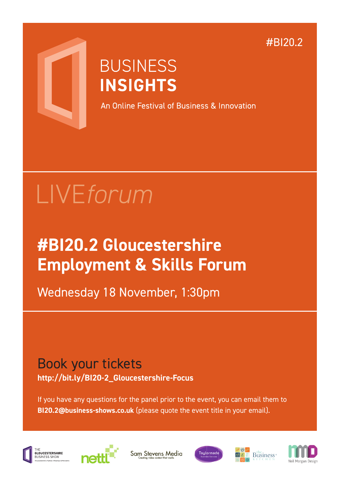#BI20.2



## **BUSINESS INSIGHTS**

An Online Festival of Business & Innovation

# LIVE*forum*

## **#BI20.2 Gloucestershire Employment & Skills Forum**

Wednesday 18 November, 1:30pm

### Book your tickets **http://bit.ly/BI20-2\_Gloucestershire-Focus**

If you have any questions for the panel prior to the event, you can email them to **BI20.2@business-shows.co.uk** (please quote the event title in your email).



...<br>GLOUCESTERSHIRE



Sam Stevens Media